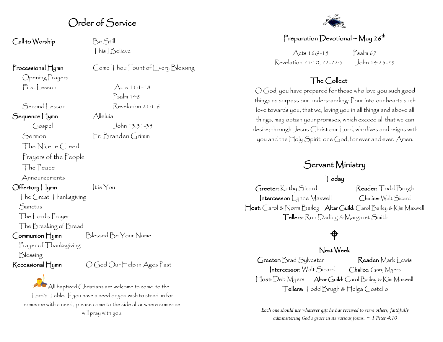# Order of Service

Call to Worship Be Still

This I Believe

Psalm 148

#### Processional Hymn Come Thou Fount of Every Blessing

Opening Prayers  $First less on$  Acts 11:1-18

Second | esson Revelation 21:1-6

Sequence Hymn Alleluía

Gospel John 13:31-35 Sermon Fr. Branden Grimm

The Nicene Creed Prayers of the People

The Peace

Announcements

 $\bigcirc$  Hertory  $\bigcup_{y \in \mathcal{Y}}$   $\bigcup_{y \in \mathcal{Y}}$   $\bigcirc$   $\bigcup_{y \in \mathcal{Y}}$   $\bigcirc$   $\bigcirc$   $\bigcirc$ 

The Great Thanksgiving **Sanctus** 

The Lord's Prayer

The Breaking of Bread

Communion Hymn Blessed Be Your Name

Prayer of Thanksgiving

Blessing

Recessional Hymn  $\bigcirc$  God Our Help in Ages Past

 $\blacktriangleright$  All baptized Christians are welcome to come to the Lord's Table. If you have a need or you wish to stand in for someone with a need, please come to the side altar where someone will pray with you.



### Preparation Devotional ~ May 26<sup>th</sup>

Acts  $16:9 - 15$  Psalm 67 Revelation 21:10, 22-22:5 John 14:23-29

### The Collect

O God, you have prepared for those who love you such good things as surpass our understanding: Pour into our hearts such love towards you, that we, loving you in all things and above all things, may obtain your promises, which exceed all that we can desire; through Jesus Christ our Lord, who lives and reigns with you and the Holy Spirit, one God, for ever and ever. Amen.

# Servant Ministry

Today

Greeter: Kathy Sicard Reader: Todd Brugh Intercessor: Lynne Maxwell Chalice: Walt Sicard Host: Carol & Norm Bailey Altar Guild: Carol Bailey & Kim Maxwell Tellers: Ron Darling & Margaret Smith

# $\bigoplus$

### Next Week

Greeter: Brad Sylvester Reader: Mark Lewis Intercessor: Walt Sicard Chalice: Gary Myers Host: Deb Myers Altar Guild: Carol Bailey & Kim Maxwell Tellers: Todd Brugh & Helga Costello

*Each one should use whatever gift he has received to serve others, faithfully administering God's grace in its various forms. ~ 1 Peter 4:10*